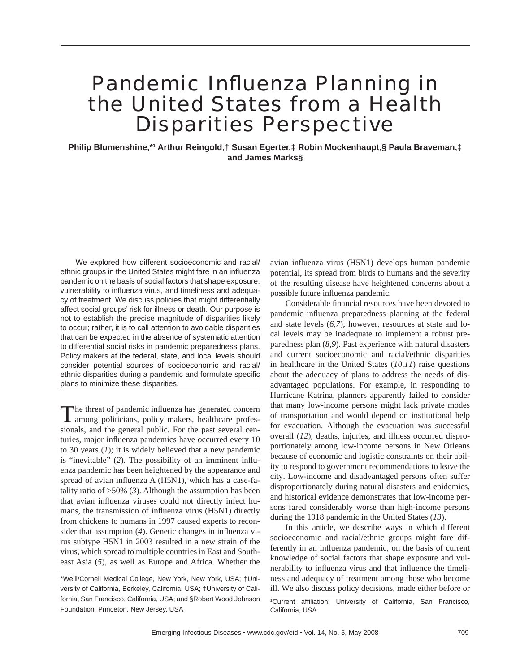# Pandemic Influenza Planning in the United States from a Health Disparities Perspective

**Philip Blumenshine,\*1 Arthur Reingold,† Susan Egerter,‡ Robin Mockenhaupt,§ Paula Braveman,‡ and James Marks§**

We explored how different socioeconomic and racial/ ethnic groups in the United States might fare in an influenza pandemic on the basis of social factors that shape exposure, vulnerability to influenza virus, and timeliness and adequacy of treatment. We discuss policies that might differentially affect social groups' risk for illness or death. Our purpose is not to establish the precise magnitude of disparities likely to occur; rather, it is to call attention to avoidable disparities that can be expected in the absence of systematic attention to differential social risks in pandemic preparedness plans. Policy makers at the federal, state, and local levels should consider potential sources of socioeconomic and racial/ ethnic disparities during a pandemic and formulate specific plans to minimize these disparities.

The threat of pandemic influenza has generated concern among politicians, policy makers, healthcare professionals, and the general public. For the past several centuries, major influenza pandemics have occurred every 10 to 30 years (*1*); it is widely believed that a new pandemic is "inevitable" (2). The possibility of an imminent influenza pandemic has been heightened by the appearance and spread of avian influenza A (H5N1), which has a case-fatality ratio of >50% (*3*). Although the assumption has been that avian influenza viruses could not directly infect humans, the transmission of influenza virus (H5N1) directly from chickens to humans in 1997 caused experts to reconsider that assumption (4). Genetic changes in influenza virus subtype H5N1 in 2003 resulted in a new strain of the virus, which spread to multiple countries in East and Southeast Asia (*5*), as well as Europe and Africa. Whether the

avian influenza virus (H5N1) develops human pandemic potential, its spread from birds to humans and the severity of the resulting disease have heightened concerns about a possible future influenza pandemic.

Considerable financial resources have been devoted to pandemic influenza preparedness planning at the federal and state levels (*6,7*); however, resources at state and local levels may be inadequate to implement a robust preparedness plan (*8,9*). Past experience with natural disasters and current socioeconomic and racial/ethnic disparities in healthcare in the United States (*10,11*) raise questions about the adequacy of plans to address the needs of disadvantaged populations. For example, in responding to Hurricane Katrina, planners apparently failed to consider that many low-income persons might lack private modes of transportation and would depend on institutional help for evacuation. Although the evacuation was successful overall (*12*), deaths, injuries, and illness occurred disproportionately among low-income persons in New Orleans because of economic and logistic constraints on their ability to respond to government recommendations to leave the city. Low-income and disadvantaged persons often suffer disproportionately during natural disasters and epidemics, and historical evidence demonstrates that low-income persons fared considerably worse than high-income persons during the 1918 pandemic in the United States (*13*).

In this article, we describe ways in which different socioeconomic and racial/ethnic groups might fare differently in an influenza pandemic, on the basis of current knowledge of social factors that shape exposure and vulnerability to influenza virus and that influence the timeliness and adequacy of treatment among those who become ill. We also discuss policy decisions, made either before or

<sup>\*</sup>Weill/Cornell Medical College, New York, New York, USA; †University of California, Berkeley, California, USA; ‡University of California, San Francisco, California, USA; and §Robert Wood Johnson Foundation, Princeton, New Jersey, USA

<sup>&</sup>lt;sup>1</sup>Current affiliation: University of California, San Francisco, California, USA.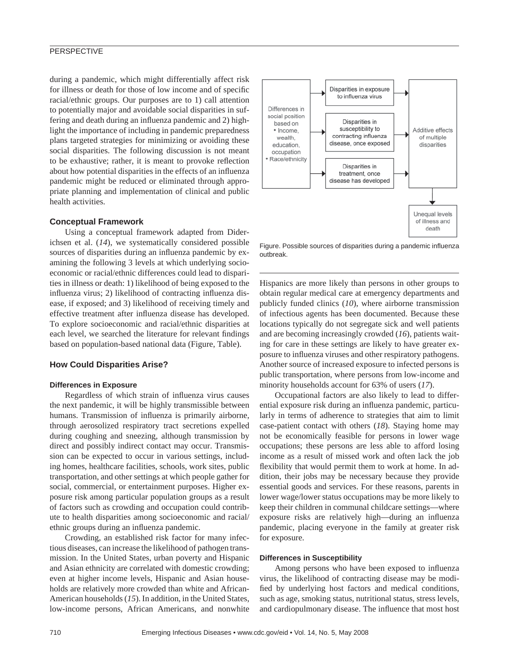# **PERSPECTIVE**

during a pandemic, which might differentially affect risk for illness or death for those of low income and of specific racial/ethnic groups. Our purposes are to 1) call attention to potentially major and avoidable social disparities in suffering and death during an influenza pandemic and 2) highlight the importance of including in pandemic preparedness plans targeted strategies for minimizing or avoiding these social disparities. The following discussion is not meant to be exhaustive; rather, it is meant to provoke reflection about how potential disparities in the effects of an influenza pandemic might be reduced or eliminated through appropriate planning and implementation of clinical and public health activities.

## **Conceptual Framework**

Using a conceptual framework adapted from Diderichsen et al. (*14*), we systematically considered possible sources of disparities during an influenza pandemic by examining the following 3 levels at which underlying socioeconomic or racial/ethnic differences could lead to disparities in illness or death: 1) likelihood of being exposed to the influenza virus; 2) likelihood of contracting influenza disease, if exposed; and 3) likelihood of receiving timely and effective treatment after influenza disease has developed. To explore socioeconomic and racial/ethnic disparities at each level, we searched the literature for relevant findings based on population-based national data (Figure, Table).

## **How Could Disparities Arise?**

#### **Differences in Exposure**

Regardless of which strain of influenza virus causes the next pandemic, it will be highly transmissible between humans. Transmission of influenza is primarily airborne, through aerosolized respiratory tract secretions expelled during coughing and sneezing, although transmission by direct and possibly indirect contact may occur. Transmission can be expected to occur in various settings, including homes, healthcare facilities, schools, work sites, public transportation, and other settings at which people gather for social, commercial, or entertainment purposes. Higher exposure risk among particular population groups as a result of factors such as crowding and occupation could contribute to health disparities among socioeconomic and racial/ ethnic groups during an influenza pandemic.

Crowding, an established risk factor for many infectious diseases, can increase the likelihood of pathogen transmission. In the United States, urban poverty and Hispanic and Asian ethnicity are correlated with domestic crowding; even at higher income levels, Hispanic and Asian households are relatively more crowded than white and African-American households (*15*). In addition, in the United States, low-income persons, African Americans, and nonwhite



Figure. Possible sources of disparities during a pandemic influenza outbreak.

Hispanics are more likely than persons in other groups to obtain regular medical care at emergency departments and publicly funded clinics (*10*), where airborne transmission of infectious agents has been documented. Because these locations typically do not segregate sick and well patients and are becoming increasingly crowded (*16*), patients waiting for care in these settings are likely to have greater exposure to influenza viruses and other respiratory pathogens. Another source of increased exposure to infected persons is public transportation, where persons from low-income and minority households account for 63% of users (*17*).

Occupational factors are also likely to lead to differential exposure risk during an influenza pandemic, particularly in terms of adherence to strategies that aim to limit case-patient contact with others (*18*). Staying home may not be economically feasible for persons in lower wage occupations; these persons are less able to afford losing income as a result of missed work and often lack the job flexibility that would permit them to work at home. In addition, their jobs may be necessary because they provide essential goods and services. For these reasons, parents in lower wage/lower status occupations may be more likely to keep their children in communal childcare settings—where exposure risks are relatively high—during an influenza pandemic, placing everyone in the family at greater risk for exposure.

#### **Differences in Susceptibility**

Among persons who have been exposed to influenza virus, the likelihood of contracting disease may be modified by underlying host factors and medical conditions, such as age, smoking status, nutritional status, stress levels, and cardiopulmonary disease. The influence that most host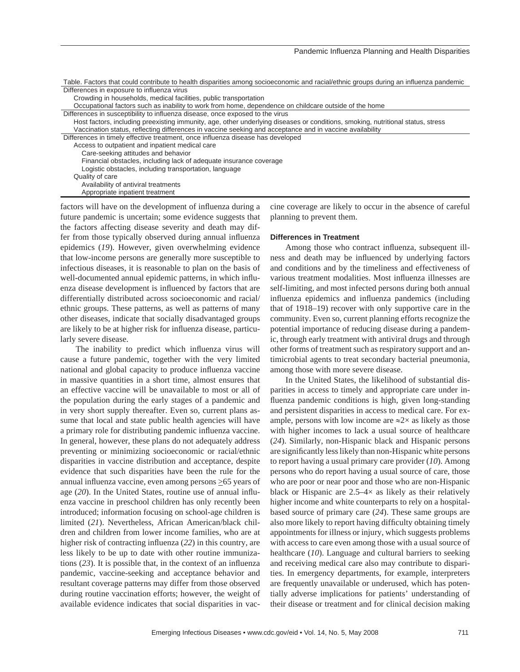| Table. Factors that could contribute to health disparities among socioeconomic and racial/ethnic groups during an influenza pandemic |
|--------------------------------------------------------------------------------------------------------------------------------------|
| Differences in exposure to influenza virus                                                                                           |
| Crowding in households, medical facilities, public transportation                                                                    |
| Occupational factors such as inability to work from home, dependence on childcare outside of the home                                |
| Differences in susceptibility to influenza disease, once exposed to the virus                                                        |
| Host factors, including preexisting immunity, age, other underlying diseases or conditions, smoking, nutritional status, stress      |
| Vaccination status, reflecting differences in vaccine seeking and acceptance and in vaccine availability                             |
| Differences in timely effective treatment, once influenza disease has developed                                                      |
| Access to outpatient and inpatient medical care                                                                                      |
| Care-seeking attitudes and behavior                                                                                                  |
| Financial obstacles, including lack of adequate insurance coverage                                                                   |
| Logistic obstacles, including transportation, language                                                                               |
| Quality of care                                                                                                                      |
| Availability of antiviral treatments                                                                                                 |
| Appropriate inpatient treatment                                                                                                      |

factors will have on the development of influenza during a future pandemic is uncertain; some evidence suggests that the factors affecting disease severity and death may differ from those typically observed during annual influenza epidemics (*19*). However, given overwhelming evidence that low-income persons are generally more susceptible to infectious diseases, it is reasonable to plan on the basis of well-documented annual epidemic patterns, in which influenza disease development is influenced by factors that are differentially distributed across socioeconomic and racial/ ethnic groups. These patterns, as well as patterns of many other diseases, indicate that socially disadvantaged groups are likely to be at higher risk for influenza disease, particularly severe disease.

The inability to predict which influenza virus will cause a future pandemic, together with the very limited national and global capacity to produce influenza vaccine in massive quantities in a short time, almost ensures that an effective vaccine will be unavailable to most or all of the population during the early stages of a pandemic and in very short supply thereafter. Even so, current plans assume that local and state public health agencies will have a primary role for distributing pandemic influenza vaccine. In general, however, these plans do not adequately address preventing or minimizing socioeconomic or racial/ethnic disparities in vaccine distribution and acceptance, despite evidence that such disparities have been the rule for the annual influenza vaccine, even among persons >65 years of age (20). In the United States, routine use of annual influenza vaccine in preschool children has only recently been introduced; information focusing on school-age children is limited (*21*). Nevertheless, African American/black children and children from lower income families, who are at higher risk of contracting influenza (22) in this country, are less likely to be up to date with other routine immunizations  $(23)$ . It is possible that, in the context of an influenza pandemic, vaccine-seeking and acceptance behavior and resultant coverage patterns may differ from those observed during routine vaccination efforts; however, the weight of available evidence indicates that social disparities in vaccine coverage are likely to occur in the absence of careful planning to prevent them.

# **Differences in Treatment**

Among those who contract influenza, subsequent illness and death may be influenced by underlying factors and conditions and by the timeliness and effectiveness of various treatment modalities. Most influenza illnesses are self-limiting, and most infected persons during both annual influenza epidemics and influenza pandemics (including that of 1918–19) recover with only supportive care in the community. Even so, current planning efforts recognize the potential importance of reducing disease during a pandemic, through early treatment with antiviral drugs and through other forms of treatment such as respiratory support and antimicrobial agents to treat secondary bacterial pneumonia, among those with more severe disease.

In the United States, the likelihood of substantial disparities in access to timely and appropriate care under influenza pandemic conditions is high, given long-standing and persistent disparities in access to medical care. For example, persons with low income are  $\approx 2 \times$  as likely as those with higher incomes to lack a usual source of healthcare (*24*). Similarly, non-Hispanic black and Hispanic persons are significantly less likely than non-Hispanic white persons to report having a usual primary care provider (*10*). Among persons who do report having a usual source of care, those who are poor or near poor and those who are non-Hispanic black or Hispanic are  $2.5-4\times$  as likely as their relatively higher income and white counterparts to rely on a hospitalbased source of primary care (*24*). These same groups are also more likely to report having difficulty obtaining timely appointments for illness or injury, which suggests problems with access to care even among those with a usual source of healthcare (*10*). Language and cultural barriers to seeking and receiving medical care also may contribute to disparities. In emergency departments, for example, interpreters are frequently unavailable or underused, which has potentially adverse implications for patients' understanding of their disease or treatment and for clinical decision making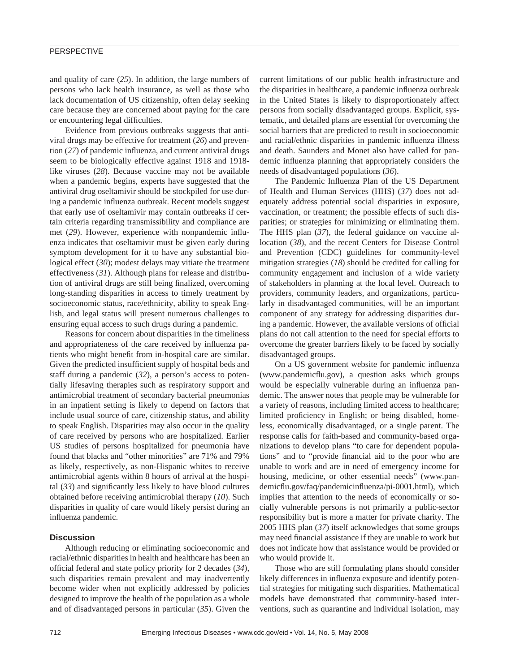# **PERSPECTIVE**

and quality of care (*25*). In addition, the large numbers of persons who lack health insurance, as well as those who lack documentation of US citizenship, often delay seeking care because they are concerned about paying for the care or encountering legal difficulties.

Evidence from previous outbreaks suggests that antiviral drugs may be effective for treatment (*26*) and prevention (27) of pandemic influenza, and current antiviral drugs seem to be biologically effective against 1918 and 1918 like viruses (*28*). Because vaccine may not be available when a pandemic begins, experts have suggested that the antiviral drug oseltamivir should be stockpiled for use during a pandemic influenza outbreak. Recent models suggest that early use of oseltamivir may contain outbreaks if certain criteria regarding transmissibility and compliance are met (29). However, experience with nonpandemic influenza indicates that oseltamivir must be given early during symptom development for it to have any substantial biological effect (*30*); modest delays may vitiate the treatment effectiveness (*31*). Although plans for release and distribution of antiviral drugs are still being finalized, overcoming long-standing disparities in access to timely treatment by socioeconomic status, race/ethnicity, ability to speak English, and legal status will present numerous challenges to ensuring equal access to such drugs during a pandemic.

Reasons for concern about disparities in the timeliness and appropriateness of the care received by influenza patients who might benefit from in-hospital care are similar. Given the predicted insufficient supply of hospital beds and staff during a pandemic (*32*), a person's access to potentially lifesaving therapies such as respiratory support and antimicrobial treatment of secondary bacterial pneumonias in an inpatient setting is likely to depend on factors that include usual source of care, citizenship status, and ability to speak English. Disparities may also occur in the quality of care received by persons who are hospitalized. Earlier US studies of persons hospitalized for pneumonia have found that blacks and "other minorities" are 71% and 79% as likely, respectively, as non-Hispanic whites to receive antimicrobial agents within 8 hours of arrival at the hospital  $(33)$  and significantly less likely to have blood cultures obtained before receiving antimicrobial therapy (*10*). Such disparities in quality of care would likely persist during an influenza pandemic.

# **Discussion**

Although reducing or eliminating socioeconomic and racial/ethnic disparities in health and healthcare has been an official federal and state policy priority for 2 decades (34), such disparities remain prevalent and may inadvertently become wider when not explicitly addressed by policies designed to improve the health of the population as a whole and of disadvantaged persons in particular (*35*). Given the current limitations of our public health infrastructure and the disparities in healthcare, a pandemic influenza outbreak in the United States is likely to disproportionately affect persons from socially disadvantaged groups. Explicit, systematic, and detailed plans are essential for overcoming the social barriers that are predicted to result in socioeconomic and racial/ethnic disparities in pandemic influenza illness and death. Saunders and Monet also have called for pandemic influenza planning that appropriately considers the needs of disadvantaged populations (*36*).

The Pandemic Influenza Plan of the US Department of Health and Human Services (HHS) (*37*) does not adequately address potential social disparities in exposure, vaccination, or treatment; the possible effects of such disparities; or strategies for minimizing or eliminating them. The HHS plan (*37*), the federal guidance on vaccine allocation (*38*), and the recent Centers for Disease Control and Prevention (CDC) guidelines for community-level mitigation strategies (*18*) should be credited for calling for community engagement and inclusion of a wide variety of stakeholders in planning at the local level. Outreach to providers, community leaders, and organizations, particularly in disadvantaged communities, will be an important component of any strategy for addressing disparities during a pandemic. However, the available versions of official plans do not call attention to the need for special efforts to overcome the greater barriers likely to be faced by socially disadvantaged groups.

On a US government website for pandemic influenza (www.pandemicflu.gov), a question asks which groups would be especially vulnerable during an influenza pandemic. The answer notes that people may be vulnerable for a variety of reasons, including limited access to healthcare; limited proficiency in English; or being disabled, homeless, economically disadvantaged, or a single parent. The response calls for faith-based and community-based organizations to develop plans "to care for dependent populations" and to "provide financial aid to the poor who are unable to work and are in need of emergency income for housing, medicine, or other essential needs" (www.pandemicflu.gov/faq/pandemicinfluenza/pi-0001.html), which implies that attention to the needs of economically or socially vulnerable persons is not primarily a public-sector responsibility but is more a matter for private charity. The 2005 HHS plan (*37*) itself acknowledges that some groups may need financial assistance if they are unable to work but does not indicate how that assistance would be provided or who would provide it.

Those who are still formulating plans should consider likely differences in influenza exposure and identify potential strategies for mitigating such disparities. Mathematical models have demonstrated that community-based interventions, such as quarantine and individual isolation, may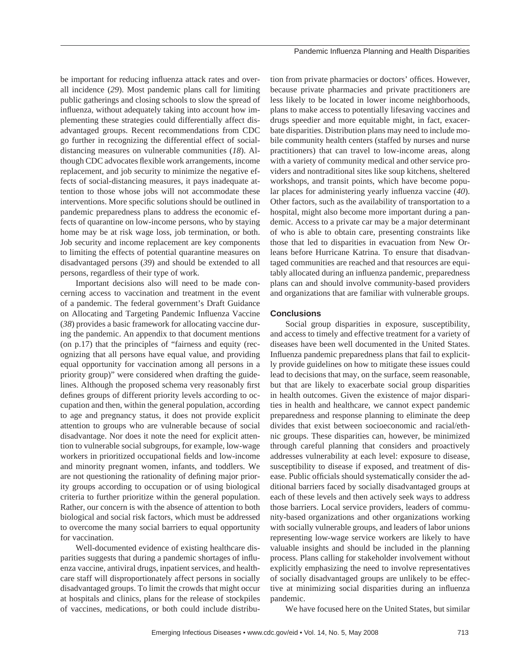be important for reducing influenza attack rates and overall incidence (*29*). Most pandemic plans call for limiting public gatherings and closing schools to slow the spread of influenza, without adequately taking into account how implementing these strategies could differentially affect disadvantaged groups. Recent recommendations from CDC go further in recognizing the differential effect of socialdistancing measures on vulnerable communities (*18*). Although CDC advocates flexible work arrangements, income replacement, and job security to minimize the negative effects of social-distancing measures, it pays inadequate attention to those whose jobs will not accommodate these interventions. More specific solutions should be outlined in pandemic preparedness plans to address the economic effects of quarantine on low-income persons, who by staying home may be at risk wage loss, job termination, or both. Job security and income replacement are key components to limiting the effects of potential quarantine measures on disadvantaged persons (*39*) and should be extended to all persons, regardless of their type of work.

Important decisions also will need to be made concerning access to vaccination and treatment in the event of a pandemic. The federal government's Draft Guidance on Allocating and Targeting Pandemic Influenza Vaccine (*38*) provides a basic framework for allocating vaccine during the pandemic. An appendix to that document mentions (on p.17) that the principles of "fairness and equity (recognizing that all persons have equal value, and providing equal opportunity for vaccination among all persons in a priority group)" were considered when drafting the guidelines. Although the proposed schema very reasonably first defines groups of different priority levels according to occupation and then, within the general population, according to age and pregnancy status, it does not provide explicit attention to groups who are vulnerable because of social disadvantage. Nor does it note the need for explicit attention to vulnerable social subgroups, for example, low-wage workers in prioritized occupational fields and low-income and minority pregnant women, infants, and toddlers. We are not questioning the rationality of defining major priority groups according to occupation or of using biological criteria to further prioritize within the general population. Rather, our concern is with the absence of attention to both biological and social risk factors, which must be addressed to overcome the many social barriers to equal opportunity for vaccination.

Well-documented evidence of existing healthcare disparities suggests that during a pandemic shortages of influenza vaccine, antiviral drugs, inpatient services, and healthcare staff will disproportionately affect persons in socially disadvantaged groups. To limit the crowds that might occur at hospitals and clinics, plans for the release of stockpiles of vaccines, medications, or both could include distribu-

tion from private pharmacies or doctors' offices. However, because private pharmacies and private practitioners are less likely to be located in lower income neighborhoods, plans to make access to potentially lifesaving vaccines and drugs speedier and more equitable might, in fact, exacerbate disparities. Distribution plans may need to include mobile community health centers (staffed by nurses and nurse practitioners) that can travel to low-income areas, along with a variety of community medical and other service providers and nontraditional sites like soup kitchens, sheltered workshops, and transit points, which have become popular places for administering yearly influenza vaccine (40). Other factors, such as the availability of transportation to a hospital, might also become more important during a pandemic. Access to a private car may be a major determinant of who is able to obtain care, presenting constraints like those that led to disparities in evacuation from New Orleans before Hurricane Katrina. To ensure that disadvantaged communities are reached and that resources are equitably allocated during an influenza pandemic, preparedness plans can and should involve community-based providers and organizations that are familiar with vulnerable groups.

## **Conclusions**

Social group disparities in exposure, susceptibility, and access to timely and effective treatment for a variety of diseases have been well documented in the United States. Influenza pandemic preparedness plans that fail to explicitly provide guidelines on how to mitigate these issues could lead to decisions that may, on the surface, seem reasonable, but that are likely to exacerbate social group disparities in health outcomes. Given the existence of major disparities in health and healthcare, we cannot expect pandemic preparedness and response planning to eliminate the deep divides that exist between socioeconomic and racial/ethnic groups. These disparities can, however, be minimized through careful planning that considers and proactively addresses vulnerability at each level: exposure to disease, susceptibility to disease if exposed, and treatment of disease. Public officials should systematically consider the additional barriers faced by socially disadvantaged groups at each of these levels and then actively seek ways to address those barriers. Local service providers, leaders of community-based organizations and other organizations working with socially vulnerable groups, and leaders of labor unions representing low-wage service workers are likely to have valuable insights and should be included in the planning process. Plans calling for stakeholder involvement without explicitly emphasizing the need to involve representatives of socially disadvantaged groups are unlikely to be effective at minimizing social disparities during an influenza pandemic.

We have focused here on the United States, but similar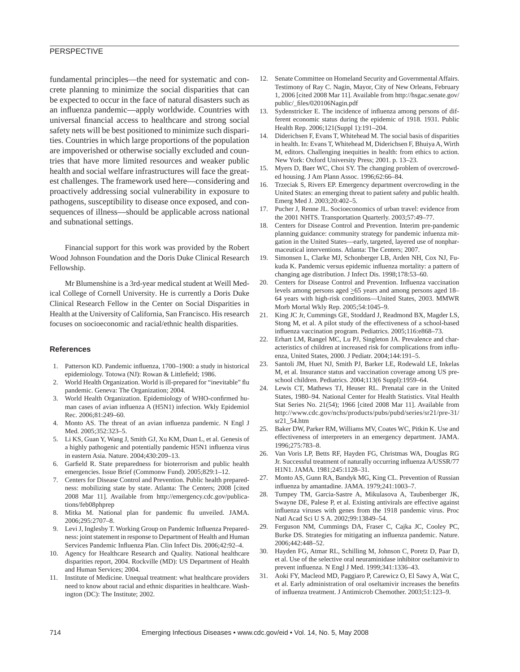# **PERSPECTIVE**

fundamental principles—the need for systematic and concrete planning to minimize the social disparities that can be expected to occur in the face of natural disasters such as an influenza pandemic—apply worldwide. Countries with universal financial access to healthcare and strong social safety nets will be best positioned to minimize such disparities. Countries in which large proportions of the population are impoverished or otherwise socially excluded and countries that have more limited resources and weaker public health and social welfare infrastructures will face the greatest challenges. The framework used here—considering and proactively addressing social vulnerability in exposure to pathogens, susceptibility to disease once exposed, and consequences of illness—should be applicable across national and subnational settings.

Financial support for this work was provided by the Robert Wood Johnson Foundation and the Doris Duke Clinical Research Fellowship.

Mr Blumenshine is a 3rd-year medical student at Weill Medical College of Cornell University. He is currently a Doris Duke Clinical Research Fellow in the Center on Social Disparities in Health at the University of California, San Francisco. His research focuses on socioeconomic and racial/ethnic health disparities.

## **References**

- 1. Patterson KD. Pandemic influenza, 1700–1900: a study in historical epidemiology. Totowa (NJ): Rowan & Littlefield; 1986.
- 2. World Health Organization. World is ill-prepared for "inevitable" flu pandemic. Geneva: The Organization; 2004.
- 3. World Health Organization. Epidemiology of WHO-confirmed human cases of avian influenza A (H5N1) infection. Wkly Epidemiol Rec. 2006;81:249–60.
- 4. Monto AS. The threat of an avian influenza pandemic. N Engl J Med. 2005;352:323–5.
- 5. Li KS, Guan Y, Wang J, Smith GJ, Xu KM, Duan L, et al. Genesis of a highly pathogenic and potentially pandemic H5N1 influenza virus in eastern Asia. Nature. 2004;430:209–13.
- 6. Garfield R. State preparedness for bioterrorism and public health emergencies. Issue Brief (Commonw Fund). 2005;829:1–12.
- 7. Centers for Disease Control and Prevention. Public health preparedness: mobilizing state by state. Atlanta: The Centers; 2008 [cited 2008 Mar 11]. Available from http://emergency.cdc.gov/publications/feb08phprep
- 8. Mitka M. National plan for pandemic flu unveiled. JAMA. 2006;295:2707–8.
- 9. Levi J, Inglesby T. Working Group on Pandemic Influenza Preparedness: joint statement in response to Department of Health and Human Services Pandemic Influenza Plan. Clin Infect Dis. 2006;42:92-4.
- 10. Agency for Healthcare Research and Quality. National healthcare disparities report, 2004. Rockville (MD): US Department of Health and Human Services; 2004.
- 11. Institute of Medicine. Unequal treatment: what healthcare providers need to know about racial and ethnic disparities in healthcare. Washington (DC): The Institute; 2002.
- 12. Senate Committee on Homeland Security and Governmental Affairs. Testimony of Ray C. Nagin, Mayor, City of New Orleans, February 1, 2006 [cited 2008 Mar 11]. Available from http://hsgac.senate.gov/ public/\_fi les/020106Nagin.pdf
- 13. Sydenstricker E. The incidence of influenza among persons of different economic status during the epidemic of 1918. 1931. Public Health Rep. 2006;121(Suppl 1):191–204.
- 14. Diderichsen F, Evans T, Whitehead M. The social basis of disparities in health. In: Evans T, Whitehead M, Diderichsen F, Bhuiya A, Wirth M, editors. Challenging inequities in health: from ethics to action. New York: Oxford University Press; 2001. p. 13–23.
- 15. Myers D, Baer WC, Choi SY. The changing problem of overcrowded housing. J Am Plann Assoc. 1996;62:66–84.
- 16. Trzeciak S, Rivers EP. Emergency department overcrowding in the United States: an emerging threat to patient safety and public health. Emerg Med J. 2003;20:402–5.
- 17. Pucher J, Renne JL. Socioeconomics of urban travel: evidence from the 2001 NHTS. Transportation Quarterly. 2003;57:49–77.
- 18. Centers for Disease Control and Prevention. Interim pre-pandemic planning guidance: community strategy for pandemic infuenza mitgation in the United States—early, targeted, layered use of nonpharmaceutical interventions. Atlanta: The Centers; 2007.
- 19. Simonsen L, Clarke MJ, Schonberger LB, Arden NH, Cox NJ, Fukuda K. Pandemic versus epidemic influenza mortality: a pattern of changing age distribution. J Infect Dis. 1998;178:53–60.
- 20. Centers for Disease Control and Prevention. Influenza vaccination levels among persons aged  $\geq 65$  years and among persons aged 18– 64 years with high-risk conditions—United States, 2003. MMWR Morb Mortal Wkly Rep. 2005;54:1045–9.
- 21. King JC Jr, Cummings GE, Stoddard J, Readmond BX, Magder LS, Stong M, et al. A pilot study of the effectiveness of a school-based influenza vaccination program. Pediatrics. 2005;116:e868-73.
- 22. Erhart LM, Rangel MC, Lu PJ, Singleton JA. Prevalence and characteristics of children at increased risk for complications from influenza, United States, 2000. J Pediatr. 2004;144:191–5.
- 23. Santoli JM, Huet NJ, Smith PJ, Barker LE, Rodewald LE, Inkelas M, et al. Insurance status and vaccination coverage among US preschool children. Pediatrics. 2004;113(6 Suppl):1959–64.
- 24. Lewis CT, Mathews TJ, Heuser RL. Prenatal care in the United States, 1980–94. National Center for Health Statistics. Vital Health Stat Series No. 21(54); 1966 [cited 2008 Mar 11]. Available from http://www.cdc.gov/nchs/products/pubs/pubd/series/sr21/pre-31/ sr21\_54.htm
- 25. Baker DW, Parker RM, Williams MV, Coates WC, Pitkin K. Use and effectiveness of interpreters in an emergency department. JAMA. 1996;275:783–8.
- 26. Van Voris LP, Betts RF, Hayden FG, Christmas WA, Douglas RG Jr. Successful treatment of naturally occurring influenza A/USSR/77 H1N1. JAMA. 1981;245:1128–31.
- 27. Monto AS, Gunn RA, Bandyk MG, King CL. Prevention of Russian influenza by amantadine. JAMA. 1979;241:1003-7.
- 28. Tumpey TM, Garcia-Sastre A, Mikulasova A, Taubenberger JK, Swayne DE, Palese P, et al. Existing antivirals are effective against influenza viruses with genes from the 1918 pandemic virus. Proc Natl Acad Sci U S A. 2002;99:13849–54.
- 29. Ferguson NM, Cummings DA, Fraser C, Cajka JC, Cooley PC, Burke DS. Strategies for mitigating an influenza pandemic. Nature. 2006;442:448–52.
- 30. Hayden FG, Atmar RL, Schilling M, Johnson C, Poretz D, Paar D, et al. Use of the selective oral neuraminidase inhibitor oseltamivir to prevent influenza. N Engl J Med. 1999;341:1336-43.
- 31. Aoki FY, Macleod MD, Paggiaro P, Carewicz O, El Sawy A, Wat C, et al. Early administration of oral oseltamivir increases the benefits of influenza treatment. J Antimicrob Chemother. 2003;51:123-9.